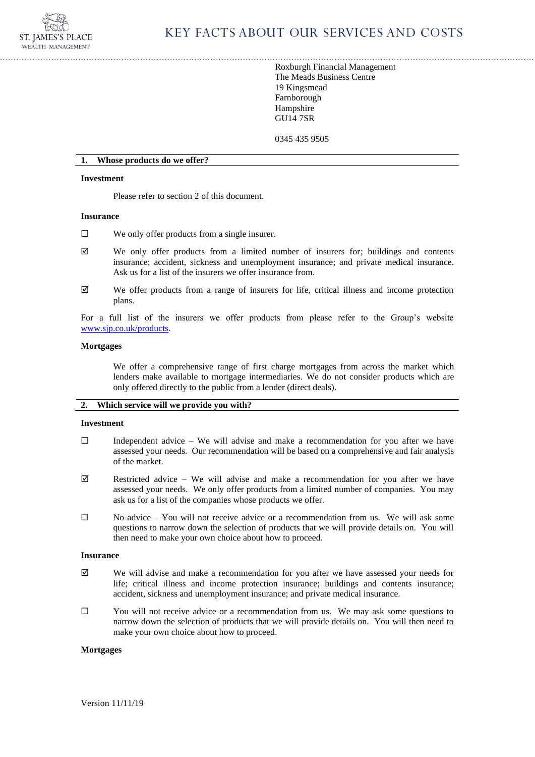

Roxburgh Financial Management The Meads Business Centre 19 Kingsmead Farnborough Hampshire GU14 7SR

0345 435 9505

#### **1. Whose products do we offer?**

#### **Investment**

Please refer to section 2 of this document.

#### **Insurance**

- $\square$  We only offer products from a single insurer.
- $\boxtimes$  We only offer products from a limited number of insurers for; buildings and contents insurance; accident, sickness and unemployment insurance; and private medical insurance. Ask us for a list of the insurers we offer insurance from.
- $\boxtimes$  We offer products from a range of insurers for life, critical illness and income protection plans.

For a full list of the insurers we offer products from please refer to the Group's website [www.sjp.co.uk/products.](http://www.sjp.co.uk/products)

## **Mortgages**

We offer a comprehensive range of first charge mortgages from across the market which lenders make available to mortgage intermediaries. We do not consider products which are only offered directly to the public from a lender (direct deals).

# **2. Which service will we provide you with?**

#### **Investment**

- $\Box$  Independent advice We will advise and make a recommendation for you after we have assessed your needs. Our recommendation will be based on a comprehensive and fair analysis of the market.
- Restricted advice We will advise and make a recommendation for you after we have assessed your needs. We only offer products from a limited number of companies. You may ask us for a list of the companies whose products we offer.
- $\square$  No advice You will not receive advice or a recommendation from us. We will ask some questions to narrow down the selection of products that we will provide details on. You will then need to make your own choice about how to proceed.

## **Insurance**

- $\boxtimes$  We will advise and make a recommendation for you after we have assessed your needs for life; critical illness and income protection insurance; buildings and contents insurance; accident, sickness and unemployment insurance; and private medical insurance.
- $\square$  You will not receive advice or a recommendation from us. We may ask some questions to narrow down the selection of products that we will provide details on. You will then need to make your own choice about how to proceed.

#### **Mortgages**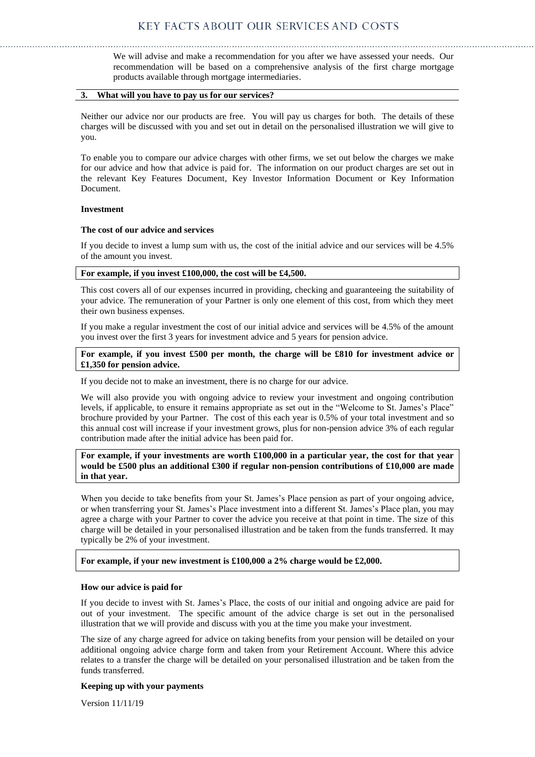We will advise and make a recommendation for you after we have assessed your needs. Our recommendation will be based on a comprehensive analysis of the first charge mortgage products available through mortgage intermediaries.

# **3. What will you have to pay us for our services?**

Neither our advice nor our products are free. You will pay us charges for both. The details of these charges will be discussed with you and set out in detail on the personalised illustration we will give to you.

To enable you to compare our advice charges with other firms, we set out below the charges we make for our advice and how that advice is paid for. The information on our product charges are set out in the relevant Key Features Document, Key Investor Information Document or Key Information Document.

## **Investment**

## **The cost of our advice and services**

If you decide to invest a lump sum with us, the cost of the initial advice and our services will be 4.5% of the amount you invest.

## **For example, if you invest £100,000, the cost will be £4,500.**

This cost covers all of our expenses incurred in providing, checking and guaranteeing the suitability of your advice. The remuneration of your Partner is only one element of this cost, from which they meet their own business expenses.

If you make a regular investment the cost of our initial advice and services will be 4.5% of the amount you invest over the first 3 years for investment advice and 5 years for pension advice.

# **For example, if you invest £500 per month, the charge will be £810 for investment advice or £1,350 for pension advice.**

If you decide not to make an investment, there is no charge for our advice.

We will also provide you with ongoing advice to review your investment and ongoing contribution levels, if applicable, to ensure it remains appropriate as set out in the "Welcome to St. James's Place" brochure provided by your Partner. The cost of this each year is 0.5% of your total investment and so this annual cost will increase if your investment grows, plus for non-pension advice 3% of each regular contribution made after the initial advice has been paid for.

**For example, if your investments are worth £100,000 in a particular year, the cost for that year would be £500 plus an additional £300 if regular non-pension contributions of £10,000 are made in that year.** 

When you decide to take benefits from your St. James's Place pension as part of your ongoing advice, or when transferring your St. James's Place investment into a different St. James's Place plan, you may agree a charge with your Partner to cover the advice you receive at that point in time. The size of this charge will be detailed in your personalised illustration and be taken from the funds transferred. It may typically be 2% of your investment.

## **For example, if your new investment is £100,000 a 2% charge would be £2,000.**

## **How our advice is paid for**

If you decide to invest with St. James's Place, the costs of our initial and ongoing advice are paid for out of your investment. The specific amount of the advice charge is set out in the personalised illustration that we will provide and discuss with you at the time you make your investment.

The size of any charge agreed for advice on taking benefits from your pension will be detailed on your additional ongoing advice charge form and taken from your Retirement Account. Where this advice relates to a transfer the charge will be detailed on your personalised illustration and be taken from the funds transferred.

## **Keeping up with your payments**

Version 11/11/19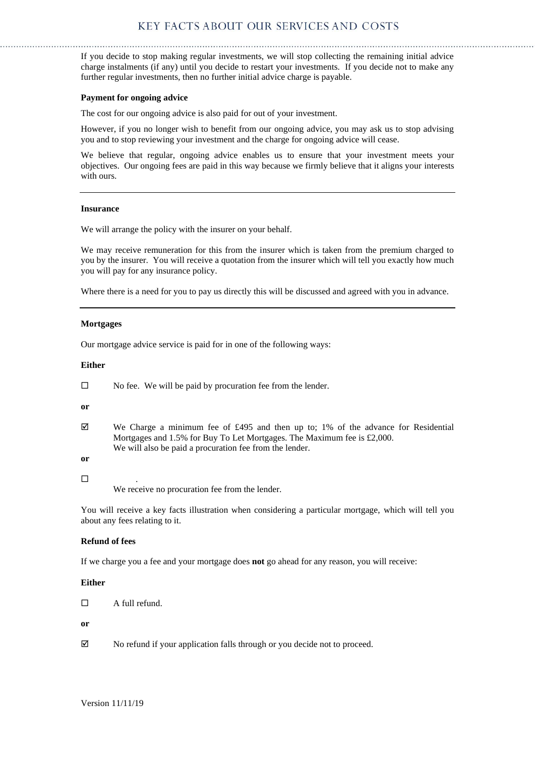If you decide to stop making regular investments, we will stop collecting the remaining initial advice charge instalments (if any) until you decide to restart your investments. If you decide not to make any further regular investments, then no further initial advice charge is payable.

## **Payment for ongoing advice**

The cost for our ongoing advice is also paid for out of your investment.

However, if you no longer wish to benefit from our ongoing advice, you may ask us to stop advising you and to stop reviewing your investment and the charge for ongoing advice will cease.

We believe that regular, ongoing advice enables us to ensure that your investment meets your objectives. Our ongoing fees are paid in this way because we firmly believe that it aligns your interests with ours.

## **Insurance**

We will arrange the policy with the insurer on your behalf.

We may receive remuneration for this from the insurer which is taken from the premium charged to you by the insurer. You will receive a quotation from the insurer which will tell you exactly how much you will pay for any insurance policy.

Where there is a need for you to pay us directly this will be discussed and agreed with you in advance.

## **Mortgages**

Our mortgage advice service is paid for in one of the following ways:

## **Either**

| $\Box$ |  | No fee. We will be paid by procuration fee from the lender. |
|--------|--|-------------------------------------------------------------|
|--------|--|-------------------------------------------------------------|

**or**

 $\boxtimes$  We Charge a minimum fee of £495 and then up to; 1% of the advance for Residential Mortgages and 1.5% for Buy To Let Mortgages. The Maximum fee is £2,000. We will also be paid a procuration fee from the lender.

**or**

# $\square$

We receive no procuration fee from the lender.

You will receive a key facts illustration when considering a particular mortgage, which will tell you about any fees relating to it.

# **Refund of fees**

If we charge you a fee and your mortgage does **not** go ahead for any reason, you will receive:

# **Either**

 $\Box$  A full refund.

## **or**

No refund if your application falls through or you decide not to proceed.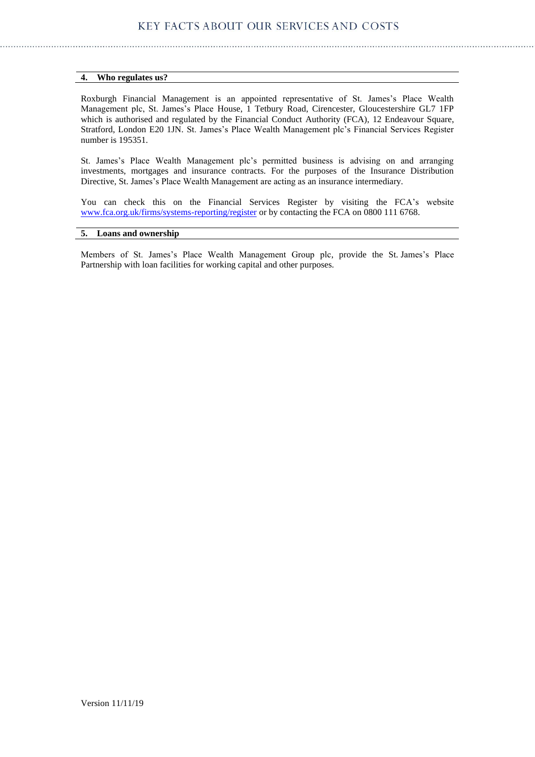# **4. Who regulates us?**

Roxburgh Financial Management is an appointed representative of St. James's Place Wealth Management plc, St. James's Place House, 1 Tetbury Road, Cirencester, Gloucestershire GL7 1FP which is authorised and regulated by the Financial Conduct Authority (FCA), 12 Endeavour Square, Stratford, London E20 1JN. St. James's Place Wealth Management plc's Financial Services Register number is 195351.

St. James's Place Wealth Management plc's permitted business is advising on and arranging investments, mortgages and insurance contracts. For the purposes of the Insurance Distribution Directive, St. James's Place Wealth Management are acting as an insurance intermediary.

You can check this on the Financial Services Register by visiting the FCA's website [www.fca.org.uk/firms/systems-reporting/register](http://www.fca.org.uk/firms/systems-reporting/register) or by contacting the FCA on 0800 111 6768.

# **5. Loans and ownership**

Members of St. James's Place Wealth Management Group plc, provide the St. James's Place Partnership with loan facilities for working capital and other purposes.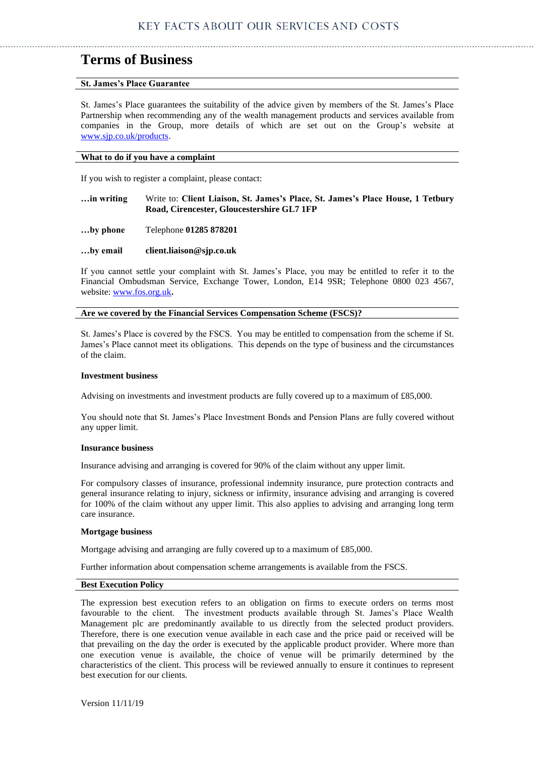# **Terms of Business**

# **St. James's Place Guarantee**

St. James's Place guarantees the suitability of the advice given by members of the St. James's Place Partnership when recommending any of the wealth management products and services available from companies in the Group, more details of which are set out on the Group's website at [www.sjp.co.uk/products.](http://www.sjp.co.uk/products)

# **What to do if you have a complaint**

If you wish to register a complaint, please contact:

| in writing | Write to: Client Liaison, St. James's Place, St. James's Place House, 1 Tetbury |  |  |
|------------|---------------------------------------------------------------------------------|--|--|
|            | Road, Cirencester, Gloucestershire GL7 1FP                                      |  |  |

- **…by phone** Telephone **01285 878201**
- **…by email client.liaison@sjp.co.uk**

If you cannot settle your complaint with St. James's Place, you may be entitled to refer it to the Financial Ombudsman Service, Exchange Tower, London, E14 9SR; Telephone 0800 023 4567, website: [www.fos.org.uk](http://www.fos.org.uk/)**.**

**Are we covered by the Financial Services Compensation Scheme (FSCS)?**

St. James's Place is covered by the FSCS. You may be entitled to compensation from the scheme if St. James's Place cannot meet its obligations. This depends on the type of business and the circumstances of the claim.

#### **Investment business**

Advising on investments and investment products are fully covered up to a maximum of £85,000.

You should note that St. James's Place Investment Bonds and Pension Plans are fully covered without any upper limit.

## **Insurance business**

Insurance advising and arranging is covered for 90% of the claim without any upper limit.

For compulsory classes of insurance, professional indemnity insurance, pure protection contracts and general insurance relating to injury, sickness or infirmity, insurance advising and arranging is covered for 100% of the claim without any upper limit. This also applies to advising and arranging long term care insurance.

#### **Mortgage business**

Mortgage advising and arranging are fully covered up to a maximum of £85,000.

Further information about compensation scheme arrangements is available from the FSCS.

## **Best Execution Policy**

The expression best execution refers to an obligation on firms to execute orders on terms most favourable to the client. The investment products available through St. James's Place Wealth Management plc are predominantly available to us directly from the selected product providers. Therefore, there is one execution venue available in each case and the price paid or received will be that prevailing on the day the order is executed by the applicable product provider. Where more than one execution venue is available, the choice of venue will be primarily determined by the characteristics of the client. This process will be reviewed annually to ensure it continues to represent best execution for our clients.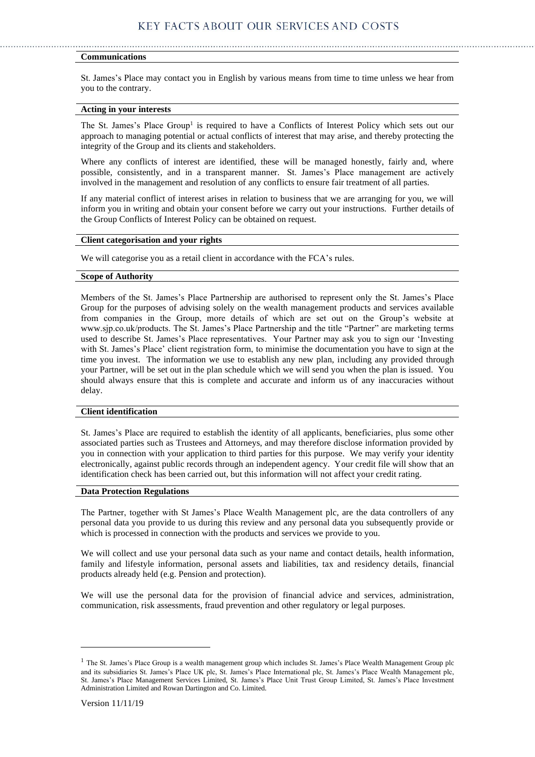## **Communications**

St. James's Place may contact you in English by various means from time to time unless we hear from you to the contrary.

#### **Acting in your interests**

The St. James's Place Group<sup>1</sup> is required to have a Conflicts of Interest Policy which sets out our approach to managing potential or actual conflicts of interest that may arise, and thereby protecting the integrity of the Group and its clients and stakeholders.

Where any conflicts of interest are identified, these will be managed honestly, fairly and, where possible, consistently, and in a transparent manner. St. James's Place management are actively involved in the management and resolution of any conflicts to ensure fair treatment of all parties.

If any material conflict of interest arises in relation to business that we are arranging for you, we will inform you in writing and obtain your consent before we carry out your instructions. Further details of the Group Conflicts of Interest Policy can be obtained on request.

# **Client categorisation and your rights**

We will categorise you as a retail client in accordance with the FCA's rules.

## **Scope of Authority**

Members of the St. James's Place Partnership are authorised to represent only the St. James's Place Group for the purposes of advising solely on the wealth management products and services available from companies in the Group, more details of which are set out on the Group's website at www.sjp.co.uk/products. The St. James's Place Partnership and the title "Partner" are marketing terms used to describe St. James's Place representatives. Your Partner may ask you to sign our 'Investing with St. James's Place' client registration form, to minimise the documentation you have to sign at the time you invest. The information we use to establish any new plan, including any provided through your Partner, will be set out in the plan schedule which we will send you when the plan is issued. You should always ensure that this is complete and accurate and inform us of any inaccuracies without delay.

# **Client identification**

St. James's Place are required to establish the identity of all applicants, beneficiaries, plus some other associated parties such as Trustees and Attorneys, and may therefore disclose information provided by you in connection with your application to third parties for this purpose. We may verify your identity electronically, against public records through an independent agency. Your credit file will show that an identification check has been carried out, but this information will not affect your credit rating.

#### **Data Protection Regulations**

The Partner, together with St James's Place Wealth Management plc, are the data controllers of any personal data you provide to us during this review and any personal data you subsequently provide or which is processed in connection with the products and services we provide to you.

We will collect and use your personal data such as your name and contact details, health information, family and lifestyle information, personal assets and liabilities, tax and residency details, financial products already held (e.g. Pension and protection).

We will use the personal data for the provision of financial advice and services, administration, communication, risk assessments, fraud prevention and other regulatory or legal purposes.

<sup>&</sup>lt;sup>1</sup> The St. James's Place Group is a wealth management group which includes St. James's Place Wealth Management Group plc and its subsidiaries St. James's Place UK plc, St. James's Place International plc, St. James's Place Wealth Management plc, St. James's Place Management Services Limited, St. James's Place Unit Trust Group Limited, St. James's Place Investment Administration Limited and Rowan Dartington and Co. Limited.